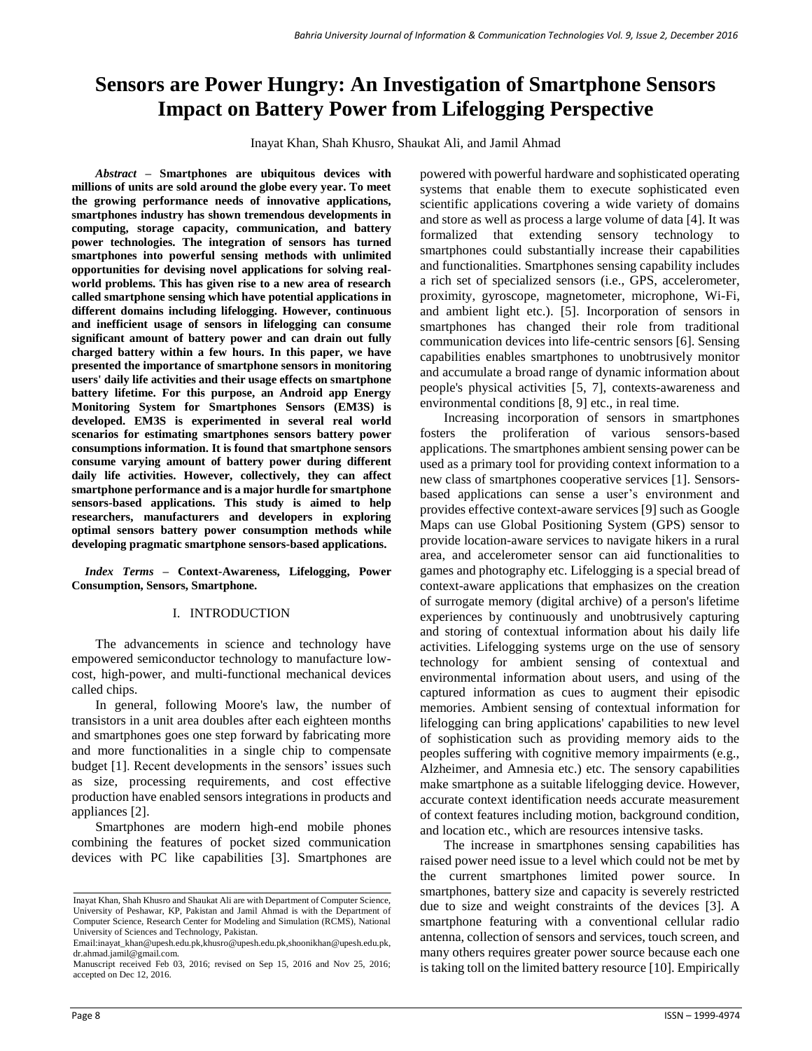# **Sensors are Power Hungry: An Investigation of Smartphone Sensors Impact on Battery Power from Lifelogging Perspective**

Inayat Khan, Shah Khusro, Shaukat Ali, and Jamil Ahmad

*Abstract –* **Smartphones are ubiquitous devices with millions of units are sold around the globe every year. To meet the growing performance needs of innovative applications, smartphones industry has shown tremendous developments in computing, storage capacity, communication, and battery power technologies. The integration of sensors has turned smartphones into powerful sensing methods with unlimited opportunities for devising novel applications for solving realworld problems. This has given rise to a new area of research called smartphone sensing which have potential applications in different domains including lifelogging. However, continuous and inefficient usage of sensors in lifelogging can consume significant amount of battery power and can drain out fully charged battery within a few hours. In this paper, we have presented the importance of smartphone sensors in monitoring users' daily life activities and their usage effects on smartphone battery lifetime. For this purpose, an Android app Energy Monitoring System for Smartphones Sensors (EM3S) is developed. EM3S is experimented in several real world scenarios for estimating smartphones sensors battery power consumptions information. It is found that smartphone sensors consume varying amount of battery power during different daily life activities. However, collectively, they can affect smartphone performance and is a major hurdle for smartphone sensors-based applications. This study is aimed to help researchers, manufacturers and developers in exploring optimal sensors battery power consumption methods while developing pragmatic smartphone sensors-based applications.**

*Index Terms –* **Context-Awareness, Lifelogging, Power Consumption, Sensors, Smartphone.**

#### I. INTRODUCTION

The advancements in science and technology have empowered semiconductor technology to manufacture lowcost, high-power, and multi-functional mechanical devices called chips.

In general, following Moore's law, the number of transistors in a unit area doubles after each eighteen months and smartphones goes one step forward by fabricating more and more functionalities in a single chip to compensate budget [1]. Recent developments in the sensors' issues such as size, processing requirements, and cost effective production have enabled sensors integrations in products and appliances [2].

Smartphones are modern high-end mobile phones combining the features of pocket sized communication devices with PC like capabilities [3]. Smartphones are powered with powerful hardware and sophisticated operating systems that enable them to execute sophisticated even scientific applications covering a wide variety of domains and store as well as process a large volume of data [4]. It was formalized that extending sensory technology to smartphones could substantially increase their capabilities and functionalities. Smartphones sensing capability includes a rich set of specialized sensors (i.e., GPS, accelerometer, proximity, gyroscope, magnetometer, microphone, Wi-Fi, and ambient light etc.). [5]. Incorporation of sensors in smartphones has changed their role from traditional communication devices into life-centric sensors [6]. Sensing capabilities enables smartphones to unobtrusively monitor and accumulate a broad range of dynamic information about people's physical activities [5, 7], contexts-awareness and environmental conditions [8, 9] etc., in real time.

Increasing incorporation of sensors in smartphones fosters the proliferation of various sensors-based applications. The smartphones ambient sensing power can be used as a primary tool for providing context information to a new class of smartphones cooperative services [1]. Sensorsbased applications can sense a user's environment and provides effective context-aware services [9] such as Google Maps can use Global Positioning System (GPS) sensor to provide location-aware services to navigate hikers in a rural area, and accelerometer sensor can aid functionalities to games and photography etc. Lifelogging is a special bread of context-aware applications that emphasizes on the creation of surrogate memory (digital archive) of a person's lifetime experiences by continuously and unobtrusively capturing and storing of contextual information about his daily life activities. Lifelogging systems urge on the use of sensory technology for ambient sensing of contextual and environmental information about users, and using of the captured information as cues to augment their episodic memories. Ambient sensing of contextual information for lifelogging can bring applications' capabilities to new level of sophistication such as providing memory aids to the peoples suffering with cognitive memory impairments (e.g., Alzheimer, and Amnesia etc.) etc. The sensory capabilities make smartphone as a suitable lifelogging device. However, accurate context identification needs accurate measurement of context features including motion, background condition, and location etc., which are resources intensive tasks.

The increase in smartphones sensing capabilities has raised power need issue to a level which could not be met by the current smartphones limited power source. In smartphones, battery size and capacity is severely restricted due to size and weight constraints of the devices [3]. A smartphone featuring with a conventional cellular radio antenna, collection of sensors and services, touch screen, and many others requires greater power source because each one is taking toll on the limited battery resource [10]. Empirically

Inayat Khan, Shah Khusro and Shaukat Ali are with Department of Computer Science, University of Peshawar, KP, Pakistan and Jamil Ahmad is with the Department of Computer Science, Research Center for Modeling and Simulation (RCMS), National University of Sciences and Technology, Pakistan.

Email[:inayat\\_khan@upesh.edu.pk,](mailto:inayat_khan@upesh.edu.pk)[khusro@upesh.edu.pk,](mailto:khusro@upesh.edu.pk)[shoonikhan@upesh.edu.pk,](mailto:shoonikhan@upesh.edu.pk)  dr.ahmad.jamil@gmail.com.

Manuscript received Feb 03, 2016; revised on Sep 15, 2016 and Nov 25, 2016; accepted on Dec 12, 2016.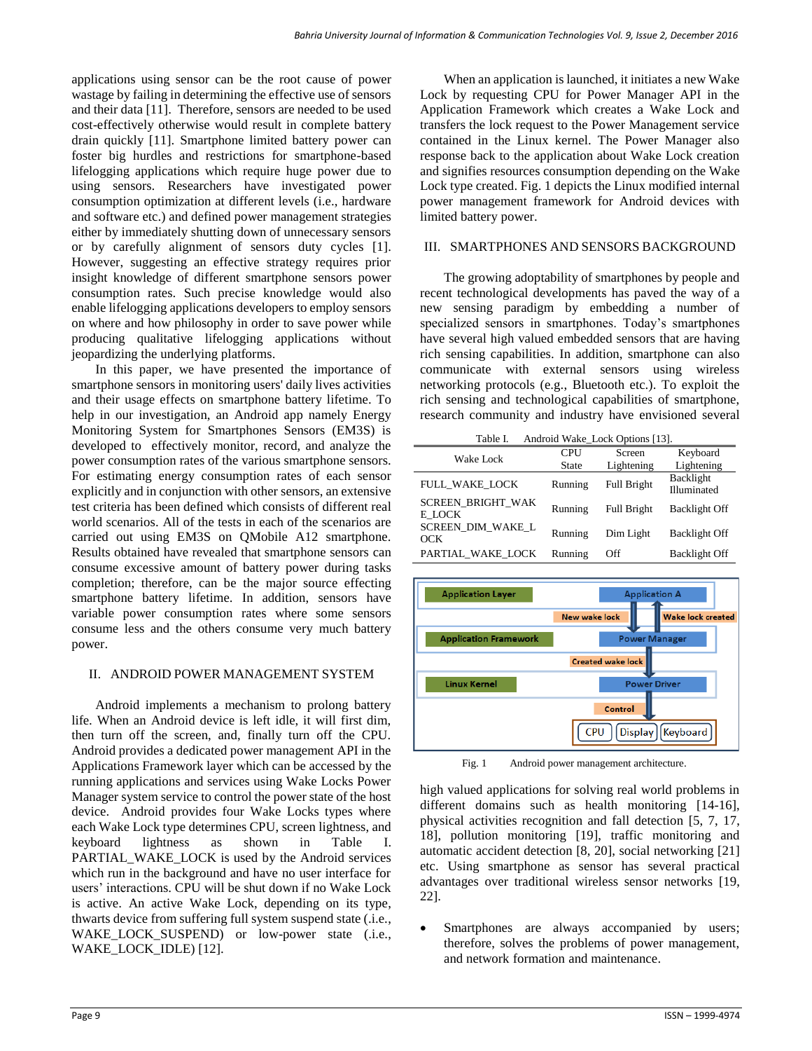applications using sensor can be the root cause of power wastage by failing in determining the effective use of sensors and their data [11]. Therefore, sensors are needed to be used cost-effectively otherwise would result in complete battery drain quickly [11]. Smartphone limited battery power can foster big hurdles and restrictions for smartphone-based lifelogging applications which require huge power due to using sensors. Researchers have investigated power consumption optimization at different levels (i.e., hardware and software etc.) and defined power management strategies either by immediately shutting down of unnecessary sensors or by carefully alignment of sensors duty cycles [1]. However, suggesting an effective strategy requires prior insight knowledge of different smartphone sensors power consumption rates. Such precise knowledge would also enable lifelogging applications developers to employ sensors on where and how philosophy in order to save power while producing qualitative lifelogging applications without jeopardizing the underlying platforms.

In this paper, we have presented the importance of smartphone sensors in monitoring users' daily lives activities and their usage effects on smartphone battery lifetime. To help in our investigation, an Android app namely Energy Monitoring System for Smartphones Sensors (EM3S) is developed to effectively monitor, record, and analyze the power consumption rates of the various smartphone sensors. For estimating energy consumption rates of each sensor explicitly and in conjunction with other sensors, an extensive test criteria has been defined which consists of different real world scenarios. All of the tests in each of the scenarios are carried out using EM3S on QMobile A12 smartphone. Results obtained have revealed that smartphone sensors can consume excessive amount of battery power during tasks completion; therefore, can be the major source effecting smartphone battery lifetime. In addition, sensors have variable power consumption rates where some sensors consume less and the others consume very much battery power.

## II. ANDROID POWER MANAGEMENT SYSTEM

Android implements a mechanism to prolong battery life. When an Android device is left idle, it will first dim, then turn off the screen, and, finally turn off the CPU. Android provides a dedicated power management API in the Applications Framework layer which can be accessed by the running applications and services using Wake Locks Power Manager system service to control the power state of the host device. Android provides four Wake Locks types where each Wake Lock type determines CPU, screen lightness, and keyboard lightness as shown in Table I. PARTIAL WAKE LOCK is used by the Android services which run in the background and have no user interface for users' interactions. CPU will be shut down if no Wake Lock is active. An active Wake Lock, depending on its type, thwarts device from suffering full system suspend state (.i.e., WAKE\_LOCK\_SUSPEND) or low-power state (.i.e., WAKE\_LOCK\_IDLE) [12].

When an application is launched, it initiates a new Wake Lock by requesting CPU for Power Manager API in the Application Framework which creates a Wake Lock and transfers the lock request to the Power Management service contained in the Linux kernel. The Power Manager also response back to the application about Wake Lock creation and signifies resources consumption depending on the Wake Lock type created. Fig. 1 depicts the Linux modified internal power management framework for Android devices with limited battery power.

#### III. SMARTPHONES AND SENSORS BACKGROUND

The growing adoptability of smartphones by people and recent technological developments has paved the way of a new sensing paradigm by embedding a number of specialized sensors in smartphones. Today's smartphones have several high valued embedded sensors that are having rich sensing capabilities. In addition, smartphone can also communicate with external sensors using wireless networking protocols (e.g., Bluetooth etc.). To exploit the rich sensing and technological capabilities of smartphone, research community and industry have envisioned several

| Android Wake_Lock Options [13].<br>Table I. |                     |                      |                          |  |
|---------------------------------------------|---------------------|----------------------|--------------------------|--|
| Wake Lock                                   | <b>CPU</b><br>State | Screen<br>Lightening | Keyboard<br>Lightening   |  |
| FULL WAKE LOCK                              | Running             | <b>Full Bright</b>   | Backlight<br>Illuminated |  |
| <b>SCREEN BRIGHT WAK</b><br>E LOCK          | Running             | <b>Full Bright</b>   | Backlight Off            |  |
| SCREEN_DIM_WAKE_L<br>OCK                    | Running             | Dim Light            | Backlight Off            |  |
| PARTIAL WAKE LOCK                           | Running             | Off                  | Backlight Off            |  |



Fig. 1 Android power management architecture.

high valued applications for solving real world problems in different domains such as health monitoring [14-16], physical activities recognition and fall detection [5, 7, 17, 18], pollution monitoring [19], traffic monitoring and automatic accident detection [8, 20], social networking [21] etc. Using smartphone as sensor has several practical advantages over traditional wireless sensor networks [19, 22].

Smartphones are always accompanied by users; therefore, solves the problems of power management, and network formation and maintenance.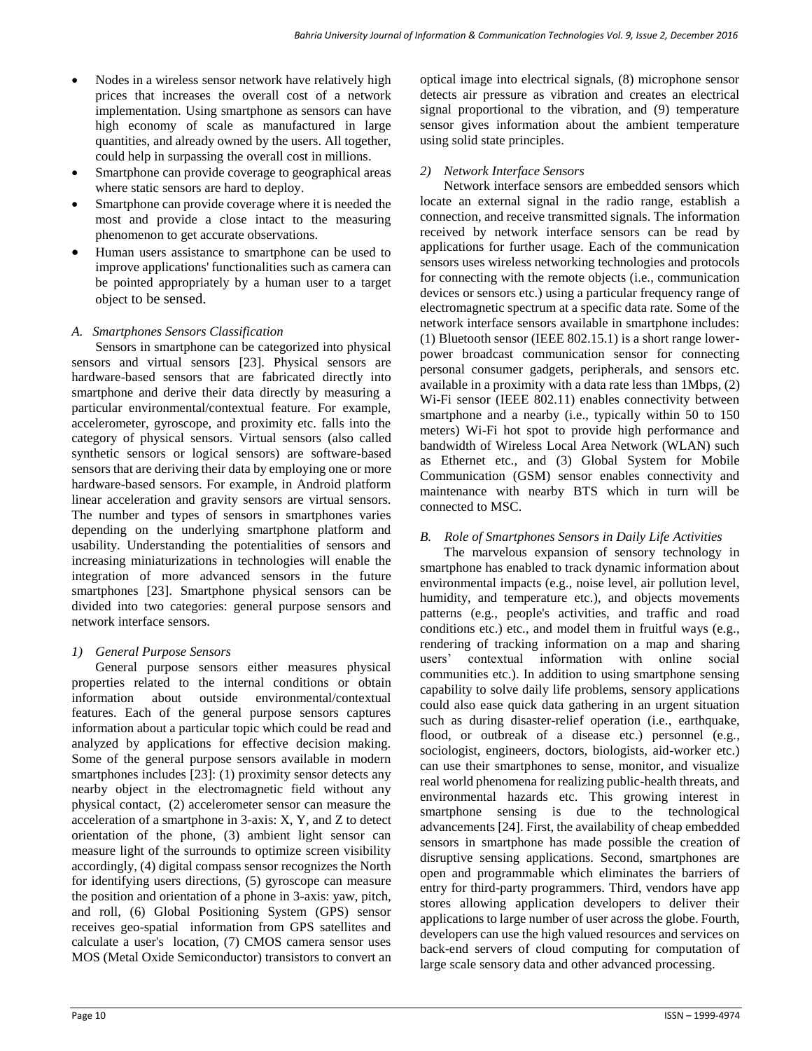- Nodes in a wireless sensor network have relatively high prices that increases the overall cost of a network implementation. Using smartphone as sensors can have high economy of scale as manufactured in large quantities, and already owned by the users. All together, could help in surpassing the overall cost in millions.
- Smartphone can provide coverage to geographical areas where static sensors are hard to deploy.
- Smartphone can provide coverage where it is needed the most and provide a close intact to the measuring phenomenon to get accurate observations.
- Human users assistance to smartphone can be used to improve applications' functionalities such as camera can be pointed appropriately by a human user to a target object to be sensed.

# *A. Smartphones Sensors Classification*

Sensors in smartphone can be categorized into physical sensors and virtual sensors [23]. Physical sensors are hardware-based sensors that are fabricated directly into smartphone and derive their data directly by measuring a particular environmental/contextual feature. For example, accelerometer, gyroscope, and proximity etc. falls into the category of physical sensors. Virtual sensors (also called synthetic sensors or logical sensors) are software-based sensors that are deriving their data by employing one or more hardware-based sensors. For example, in Android platform linear acceleration and gravity sensors are virtual sensors. The number and types of sensors in smartphones varies depending on the underlying smartphone platform and usability. Understanding the potentialities of sensors and increasing miniaturizations in technologies will enable the integration of more advanced sensors in the future smartphones [23]. Smartphone physical sensors can be divided into two categories: general purpose sensors and network interface sensors.

### *1) General Purpose Sensors*

General purpose sensors either measures physical properties related to the internal conditions or obtain information about outside environmental/contextual features. Each of the general purpose sensors captures information about a particular topic which could be read and analyzed by applications for effective decision making. Some of the general purpose sensors available in modern smartphones includes [23]: (1) proximity sensor detects any nearby object in the electromagnetic field without any physical contact, (2) accelerometer sensor can measure the acceleration of a smartphone in 3-axis: X, Y, and Z to detect orientation of the phone, (3) ambient light sensor can measure light of the surrounds to optimize screen visibility accordingly, (4) digital compass sensor recognizes the North for identifying users directions, (5) gyroscope can measure the position and orientation of a phone in 3-axis: yaw, pitch, and roll, (6) Global Positioning System (GPS) sensor receives geo-spatial information from GPS satellites and calculate a user's location, (7) CMOS camera sensor uses MOS (Metal Oxide Semiconductor) transistors to convert an

optical image into electrical signals, (8) microphone sensor detects air pressure as vibration and creates an electrical signal proportional to the vibration, and (9) temperature sensor gives information about the ambient temperature using solid state principles.

## *2) Network Interface Sensors*

Network interface sensors are embedded sensors which locate an external signal in the radio range, establish a connection, and receive transmitted signals. The information received by network interface sensors can be read by applications for further usage. Each of the communication sensors uses wireless networking technologies and protocols for connecting with the remote objects (i.e., communication devices or sensors etc.) using a particular frequency range of electromagnetic spectrum at a specific data rate. Some of the network interface sensors available in smartphone includes: (1) Bluetooth sensor (IEEE 802.15.1) is a short range lowerpower broadcast communication sensor for connecting personal consumer gadgets, peripherals, and sensors etc. available in a proximity with a data rate less than 1Mbps, (2) Wi-Fi sensor (IEEE 802.11) enables connectivity between smartphone and a nearby (i.e., typically within 50 to 150 meters) Wi-Fi hot spot to provide high performance and bandwidth of Wireless Local Area Network (WLAN) such as Ethernet etc., and (3) Global System for Mobile Communication (GSM) sensor enables connectivity and maintenance with nearby BTS which in turn will be connected to MSC.

# *B. Role of Smartphones Sensors in Daily Life Activities*

The marvelous expansion of sensory technology in smartphone has enabled to track dynamic information about environmental impacts (e.g., noise level, air pollution level, humidity, and temperature etc.), and objects movements patterns (e.g., people's activities, and traffic and road conditions etc.) etc., and model them in fruitful ways (e.g., rendering of tracking information on a map and sharing users' contextual information with online social communities etc.). In addition to using smartphone sensing capability to solve daily life problems, sensory applications could also ease quick data gathering in an urgent situation such as during disaster-relief operation (i.e., earthquake, flood, or outbreak of a disease etc.) personnel (e.g., sociologist, engineers, doctors, biologists, aid-worker etc.) can use their smartphones to sense, monitor, and visualize real world phenomena for realizing public-health threats, and environmental hazards etc. This growing interest in smartphone sensing is due to the technological advancements [24]. First, the availability of cheap embedded sensors in smartphone has made possible the creation of disruptive sensing applications. Second, smartphones are open and programmable which eliminates the barriers of entry for third-party programmers. Third, vendors have app stores allowing application developers to deliver their applications to large number of user across the globe. Fourth, developers can use the high valued resources and services on back-end servers of cloud computing for computation of large scale sensory data and other advanced processing.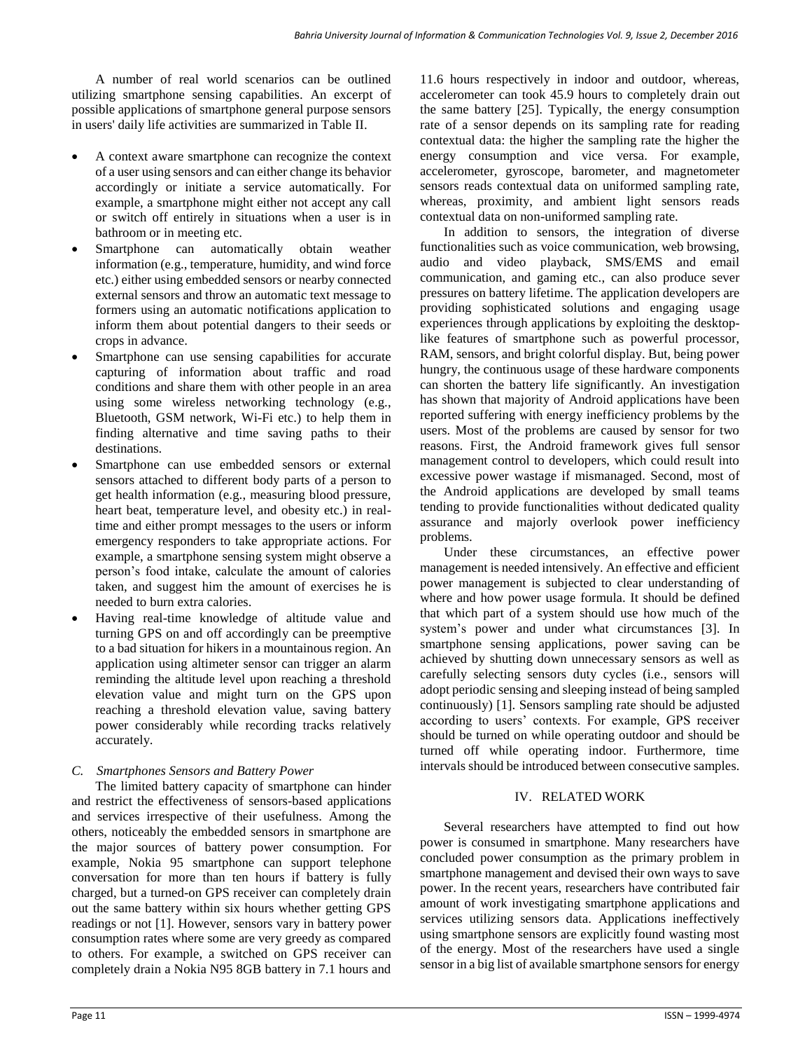A number of real world scenarios can be outlined utilizing smartphone sensing capabilities. An excerpt of possible applications of smartphone general purpose sensors in users' daily life activities are summarized in Table II.

- A context aware smartphone can recognize the context of a user using sensors and can either change its behavior accordingly or initiate a service automatically. For example, a smartphone might either not accept any call or switch off entirely in situations when a user is in bathroom or in meeting etc.
- Smartphone can automatically obtain weather information (e.g., temperature, humidity, and wind force etc.) either using embedded sensors or nearby connected external sensors and throw an automatic text message to formers using an automatic notifications application to inform them about potential dangers to their seeds or crops in advance.
- Smartphone can use sensing capabilities for accurate capturing of information about traffic and road conditions and share them with other people in an area using some wireless networking technology (e.g., Bluetooth, GSM network, Wi-Fi etc.) to help them in finding alternative and time saving paths to their destinations.
- Smartphone can use embedded sensors or external sensors attached to different body parts of a person to get health information (e.g., measuring blood pressure, heart beat, temperature level, and obesity etc.) in realtime and either prompt messages to the users or inform emergency responders to take appropriate actions. For example, a smartphone sensing system might observe a person's food intake, calculate the amount of calories taken, and suggest him the amount of exercises he is needed to burn extra calories.
- Having real-time knowledge of altitude value and turning GPS on and off accordingly can be preemptive to a bad situation for hikers in a mountainous region. An application using altimeter sensor can trigger an alarm reminding the altitude level upon reaching a threshold elevation value and might turn on the GPS upon reaching a threshold elevation value, saving battery power considerably while recording tracks relatively accurately.

### *C. Smartphones Sensors and Battery Power*

The limited battery capacity of smartphone can hinder and restrict the effectiveness of sensors-based applications and services irrespective of their usefulness. Among the others, noticeably the embedded sensors in smartphone are the major sources of battery power consumption. For example, Nokia 95 smartphone can support telephone conversation for more than ten hours if battery is fully charged, but a turned-on GPS receiver can completely drain out the same battery within six hours whether getting GPS readings or not [1]. However, sensors vary in battery power consumption rates where some are very greedy as compared to others. For example, a switched on GPS receiver can completely drain a Nokia N95 8GB battery in 7.1 hours and

11.6 hours respectively in indoor and outdoor, whereas, accelerometer can took 45.9 hours to completely drain out the same battery [25]. Typically, the energy consumption rate of a sensor depends on its sampling rate for reading contextual data: the higher the sampling rate the higher the energy consumption and vice versa. For example, accelerometer, gyroscope, barometer, and magnetometer sensors reads contextual data on uniformed sampling rate, whereas, proximity, and ambient light sensors reads contextual data on non-uniformed sampling rate.

In addition to sensors, the integration of diverse functionalities such as voice communication, web browsing, audio and video playback, SMS/EMS and email communication, and gaming etc., can also produce sever pressures on battery lifetime. The application developers are providing sophisticated solutions and engaging usage experiences through applications by exploiting the desktoplike features of smartphone such as powerful processor, RAM, sensors, and bright colorful display. But, being power hungry, the continuous usage of these hardware components can shorten the battery life significantly. An investigation has shown that majority of Android applications have been reported suffering with energy inefficiency problems by the users. Most of the problems are caused by sensor for two reasons. First, the Android framework gives full sensor management control to developers, which could result into excessive power wastage if mismanaged. Second, most of the Android applications are developed by small teams tending to provide functionalities without dedicated quality assurance and majorly overlook power inefficiency problems.

Under these circumstances, an effective power management is needed intensively. An effective and efficient power management is subjected to clear understanding of where and how power usage formula. It should be defined that which part of a system should use how much of the system's power and under what circumstances [3]. In smartphone sensing applications, power saving can be achieved by shutting down unnecessary sensors as well as carefully selecting sensors duty cycles (i.e., sensors will adopt periodic sensing and sleeping instead of being sampled continuously) [1]. Sensors sampling rate should be adjusted according to users' contexts. For example, GPS receiver should be turned on while operating outdoor and should be turned off while operating indoor. Furthermore, time intervals should be introduced between consecutive samples.

# IV. RELATED WORK

Several researchers have attempted to find out how power is consumed in smartphone. Many researchers have concluded power consumption as the primary problem in smartphone management and devised their own ways to save power. In the recent years, researchers have contributed fair amount of work investigating smartphone applications and services utilizing sensors data. Applications ineffectively using smartphone sensors are explicitly found wasting most of the energy. Most of the researchers have used a single sensor in a big list of available smartphone sensors for energy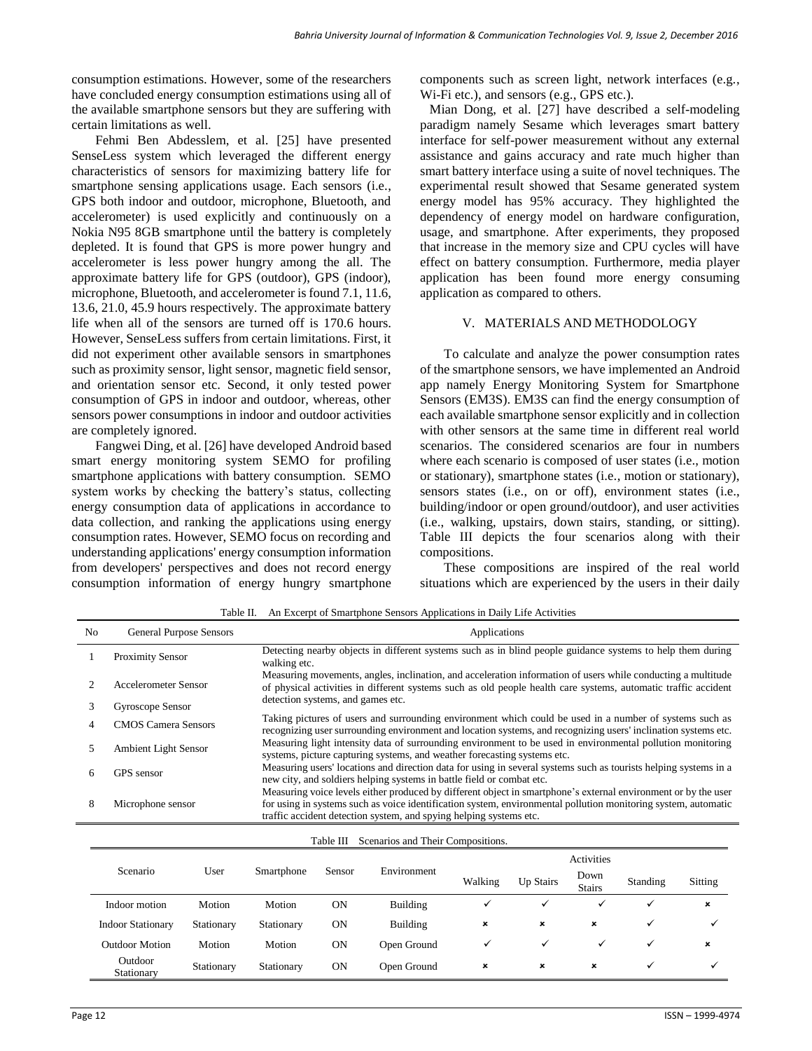consumption estimations. However, some of the researchers have concluded energy consumption estimations using all of the available smartphone sensors but they are suffering with certain limitations as well.

Fehmi Ben Abdesslem, et al. [25] have presented SenseLess system which leveraged the different energy characteristics of sensors for maximizing battery life for smartphone sensing applications usage. Each sensors (i.e., GPS both indoor and outdoor, microphone, Bluetooth, and accelerometer) is used explicitly and continuously on a Nokia N95 8GB smartphone until the battery is completely depleted. It is found that GPS is more power hungry and accelerometer is less power hungry among the all. The approximate battery life for GPS (outdoor), GPS (indoor), microphone, Bluetooth, and accelerometer is found 7.1, 11.6, 13.6, 21.0, 45.9 hours respectively. The approximate battery life when all of the sensors are turned off is 170.6 hours. However, SenseLess suffers from certain limitations. First, it did not experiment other available sensors in smartphones such as proximity sensor, light sensor, magnetic field sensor, and orientation sensor etc. Second, it only tested power consumption of GPS in indoor and outdoor, whereas, other sensors power consumptions in indoor and outdoor activities are completely ignored.

Fangwei Ding, et al. [26] have developed Android based smart energy monitoring system SEMO for profiling smartphone applications with battery consumption. SEMO system works by checking the battery's status, collecting energy consumption data of applications in accordance to data collection, and ranking the applications using energy consumption rates. However, SEMO focus on recording and understanding applications' energy consumption information from developers' perspectives and does not record energy consumption information of energy hungry smartphone

components such as screen light, network interfaces (e.g., Wi-Fi etc.), and sensors (e.g., GPS etc.).

Mian Dong, et al. [27] have described a self-modeling paradigm namely Sesame which leverages smart battery interface for self-power measurement without any external assistance and gains accuracy and rate much higher than smart battery interface using a suite of novel techniques. The experimental result showed that Sesame generated system energy model has 95% accuracy. They highlighted the dependency of energy model on hardware configuration, usage, and smartphone. After experiments, they proposed that increase in the memory size and CPU cycles will have effect on battery consumption. Furthermore, media player application has been found more energy consuming application as compared to others.

#### V. MATERIALS AND METHODOLOGY

To calculate and analyze the power consumption rates of the smartphone sensors, we have implemented an Android app namely Energy Monitoring System for Smartphone Sensors (EM3S). EM3S can find the energy consumption of each available smartphone sensor explicitly and in collection with other sensors at the same time in different real world scenarios. The considered scenarios are four in numbers where each scenario is composed of user states (i.e., motion or stationary), smartphone states (i.e., motion or stationary), sensors states (i.e., on or off), environment states (i.e., building/indoor or open ground/outdoor), and user activities (i.e., walking, upstairs, down stairs, standing, or sitting). Table III depicts the four scenarios along with their compositions.

These compositions are inspired of the real world situations which are experienced by the users in their daily

Table II. An Excerpt of Smartphone Sensors Applications in Daily Life Activities

| No. | <b>General Purpose Sensors</b> | Applications                                                                                                                                                                                                                                                                                           |
|-----|--------------------------------|--------------------------------------------------------------------------------------------------------------------------------------------------------------------------------------------------------------------------------------------------------------------------------------------------------|
|     | <b>Proximity Sensor</b>        | Detecting nearby objects in different systems such as in blind people guidance systems to help them during<br>walking etc.                                                                                                                                                                             |
|     | Accelerometer Sensor           | Measuring movements, angles, inclination, and acceleration information of users while conducting a multitude<br>of physical activities in different systems such as old people health care systems, automatic traffic accident<br>detection systems, and games etc.                                    |
|     | Gyroscope Sensor               |                                                                                                                                                                                                                                                                                                        |
|     | <b>CMOS</b> Camera Sensors     | Taking pictures of users and surrounding environment which could be used in a number of systems such as<br>recognizing user surrounding environment and location systems, and recognizing users' inclination systems etc.                                                                              |
|     | <b>Ambient Light Sensor</b>    | Measuring light intensity data of surrounding environment to be used in environmental pollution monitoring<br>systems, picture capturing systems, and weather forecasting systems etc.                                                                                                                 |
| 6   | GPS sensor                     | Measuring users' locations and direction data for using in several systems such as tourists helping systems in a<br>new city, and soldiers helping systems in battle field or combat etc.                                                                                                              |
| 8   | Microphone sensor              | Measuring voice levels either produced by different object in smartphone's external environment or by the user<br>for using in systems such as voice identification system, environmental pollution monitoring system, automatic<br>traffic accident detection system, and spying helping systems etc. |

|                          |            |            | Table III | Scenarios and Their Compositions. |                |                           |                       |              |                           |
|--------------------------|------------|------------|-----------|-----------------------------------|----------------|---------------------------|-----------------------|--------------|---------------------------|
|                          |            |            |           |                                   | Activities     |                           |                       |              |                           |
| Scenario                 | User       | Smartphone | Sensor    | Environment                       | Walking        | Up Stairs                 | Down<br><b>Stairs</b> | Standing     | Sitting                   |
| Indoor motion            | Motion     | Motion     | <b>ON</b> | Building                          | ✓              |                           | ✓                     | $\checkmark$ | $\boldsymbol{\mathsf{x}}$ |
| <b>Indoor Stationary</b> | Stationary | Stationary | <b>ON</b> | Building                          | $\pmb{\times}$ | $\boldsymbol{\mathsf{x}}$ | $\pmb{\times}$        | ✓            | $\checkmark$              |
| <b>Outdoor Motion</b>    | Motion     | Motion     | <b>ON</b> | Open Ground                       | v              | $\checkmark$              | ✓                     | ✓            | $\boldsymbol{\mathsf{x}}$ |
| Outdoor<br>Stationary    | Stationary | Stationary | <b>ON</b> | Open Ground                       | ×              | $\boldsymbol{\mathsf{x}}$ | $\pmb{\times}$        | ✓            | $\checkmark$              |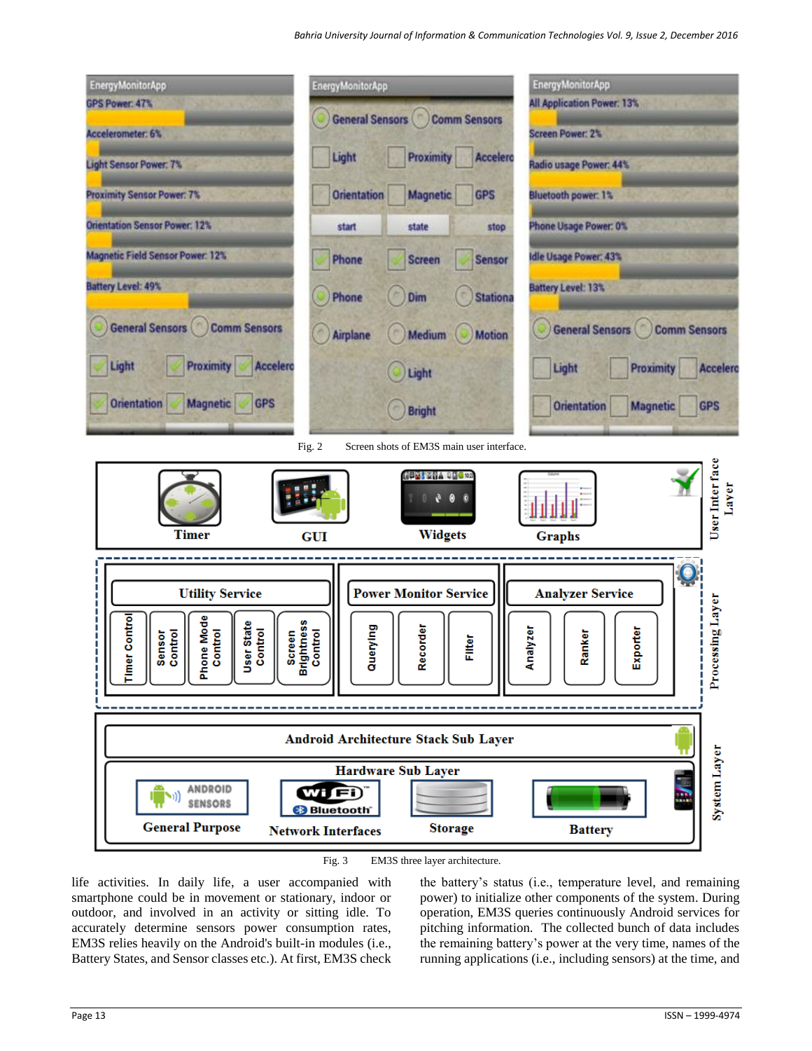

Fig. 3 EM3S three layer architecture.

life activities. In daily life, a user accompanied with smartphone could be in movement or stationary, indoor or outdoor, and involved in an activity or sitting idle. To accurately determine sensors power consumption rates, EM3S relies heavily on the Android's built-in modules (i.e., Battery States, and Sensor classes etc.). At first, EM3S check

the battery's status (i.e., temperature level, and remaining power) to initialize other components of the system. During operation, EM3S queries continuously Android services for pitching information. The collected bunch of data includes the remaining battery's power at the very time, names of the running applications (i.e., including sensors) at the time, and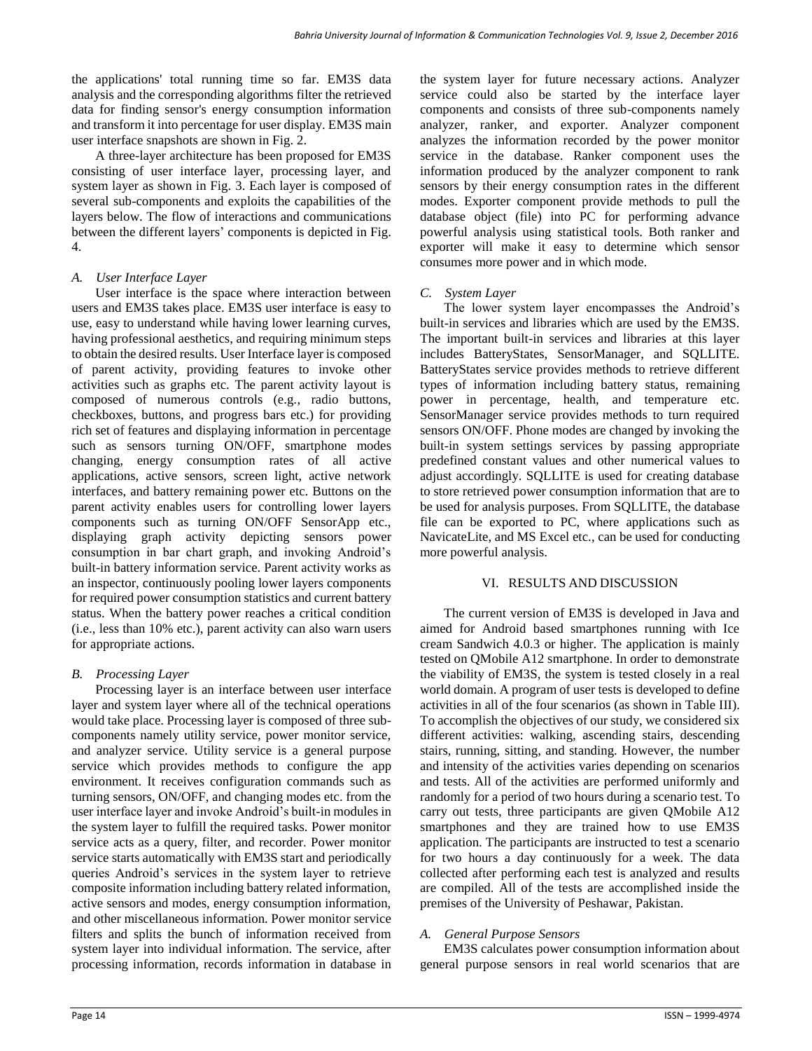the applications' total running time so far. EM3S data analysis and the corresponding algorithms filter the retrieved data for finding sensor's energy consumption information and transform it into percentage for user display. EM3S main user interface snapshots are shown in Fig. 2.

A three-layer architecture has been proposed for EM3S consisting of user interface layer, processing layer, and system layer as shown in Fig. 3. Each layer is composed of several sub-components and exploits the capabilities of the layers below. The flow of interactions and communications between the different layers' components is depicted in Fig. 4.

## *A. User Interface Layer*

User interface is the space where interaction between users and EM3S takes place. EM3S user interface is easy to use, easy to understand while having lower learning curves, having professional aesthetics, and requiring minimum steps to obtain the desired results. User Interface layer is composed of parent activity, providing features to invoke other activities such as graphs etc. The parent activity layout is composed of numerous controls (e.g., radio buttons, checkboxes, buttons, and progress bars etc.) for providing rich set of features and displaying information in percentage such as sensors turning ON/OFF, smartphone modes changing, energy consumption rates of all active applications, active sensors, screen light, active network interfaces, and battery remaining power etc. Buttons on the parent activity enables users for controlling lower layers components such as turning ON/OFF SensorApp etc., displaying graph activity depicting sensors power consumption in bar chart graph, and invoking Android's built-in battery information service. Parent activity works as an inspector, continuously pooling lower layers components for required power consumption statistics and current battery status. When the battery power reaches a critical condition (i.e., less than 10% etc.), parent activity can also warn users for appropriate actions.

# *B. Processing Layer*

Processing layer is an interface between user interface layer and system layer where all of the technical operations would take place. Processing layer is composed of three subcomponents namely utility service, power monitor service, and analyzer service. Utility service is a general purpose service which provides methods to configure the app environment. It receives configuration commands such as turning sensors, ON/OFF, and changing modes etc. from the user interface layer and invoke Android's built-in modules in the system layer to fulfill the required tasks. Power monitor service acts as a query, filter, and recorder. Power monitor service starts automatically with EM3S start and periodically queries Android's services in the system layer to retrieve composite information including battery related information, active sensors and modes, energy consumption information, and other miscellaneous information. Power monitor service filters and splits the bunch of information received from system layer into individual information. The service, after processing information, records information in database in

the system layer for future necessary actions. Analyzer service could also be started by the interface layer components and consists of three sub-components namely analyzer, ranker, and exporter. Analyzer component analyzes the information recorded by the power monitor service in the database. Ranker component uses the information produced by the analyzer component to rank sensors by their energy consumption rates in the different modes. Exporter component provide methods to pull the database object (file) into PC for performing advance powerful analysis using statistical tools. Both ranker and exporter will make it easy to determine which sensor consumes more power and in which mode.

## *C. System Layer*

The lower system layer encompasses the Android's built-in services and libraries which are used by the EM3S. The important built-in services and libraries at this layer includes BatteryStates, SensorManager, and SQLLITE. BatteryStates service provides methods to retrieve different types of information including battery status, remaining power in percentage, health, and temperature etc. SensorManager service provides methods to turn required sensors ON/OFF. Phone modes are changed by invoking the built-in system settings services by passing appropriate predefined constant values and other numerical values to adjust accordingly. SQLLITE is used for creating database to store retrieved power consumption information that are to be used for analysis purposes. From SQLLITE, the database file can be exported to PC, where applications such as NavicateLite, and MS Excel etc., can be used for conducting more powerful analysis.

### VI. RESULTS AND DISCUSSION

The current version of EM3S is developed in Java and aimed for Android based smartphones running with Ice cream Sandwich 4.0.3 or higher. The application is mainly tested on QMobile A12 smartphone. In order to demonstrate the viability of EM3S, the system is tested closely in a real world domain. A program of user tests is developed to define activities in all of the four scenarios (as shown in Table III). To accomplish the objectives of our study, we considered six different activities: walking, ascending stairs, descending stairs, running, sitting, and standing. However, the number and intensity of the activities varies depending on scenarios and tests. All of the activities are performed uniformly and randomly for a period of two hours during a scenario test. To carry out tests, three participants are given QMobile A12 smartphones and they are trained how to use EM3S application. The participants are instructed to test a scenario for two hours a day continuously for a week. The data collected after performing each test is analyzed and results are compiled. All of the tests are accomplished inside the premises of the University of Peshawar, Pakistan.

# *A. General Purpose Sensors*

EM3S calculates power consumption information about general purpose sensors in real world scenarios that are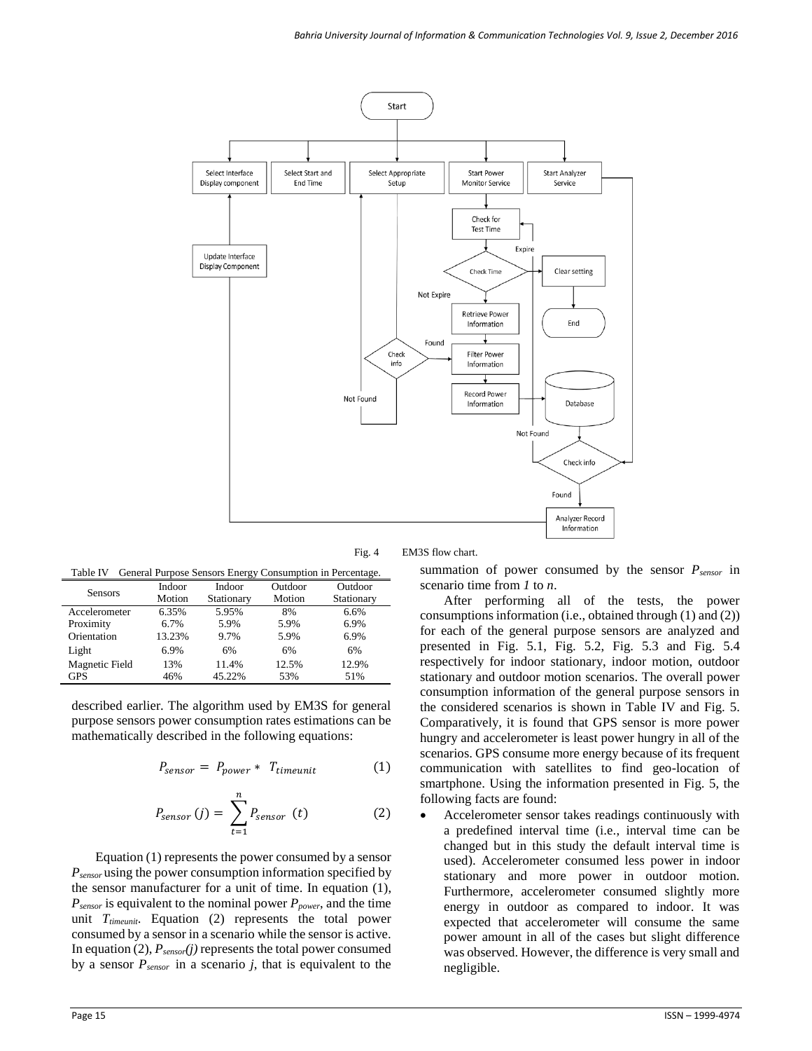

Fig. 4 EM3S flow chart.

Table IV General Purpose Sensors Energy Consumption in Percentage.

| <b>Sensors</b> | Indoor<br>Motion | Indoor<br>Stationary | Outdoor<br>Motion | Outdoor<br>Stationary |
|----------------|------------------|----------------------|-------------------|-----------------------|
| Accelerometer  | 6.35%            | 5.95%                | 8%                | 6.6%                  |
| Proximity      | 6.7%             | 5.9%                 | 5.9%              | 6.9%                  |
| Orientation    | 13.23%           | 9.7%                 | 5.9%              | 6.9%                  |
| Light          | 6.9%             | 6%                   | 6%                | 6%                    |
| Magnetic Field | 13%              | 11.4%                | 12.5%             | 12.9%                 |
| <b>GPS</b>     | 46%              | 45.22%               | 53%               | 51%                   |

described earlier. The algorithm used by EM3S for general purpose sensors power consumption rates estimations can be mathematically described in the following equations:

$$
P_{sensor} = P_{power} * T_{timeunit} \tag{1}
$$

$$
P_{sensor}(j) = \sum_{t=1}^{n} P_{sensor}(t)
$$
 (2)

Equation (1) represents the power consumed by a sensor *Psensor* using the power consumption information specified by the sensor manufacturer for a unit of time. In equation (1), *Psensor* is equivalent to the nominal power *Ppower*, and the time unit *Ttimeunit*. Equation (2) represents the total power consumed by a sensor in a scenario while the sensor is active. In equation (2), *Psensor(j)* represents the total power consumed by a sensor *Psensor* in a scenario *j*, that is equivalent to the

summation of power consumed by the sensor *Psensor* in scenario time from *1* to *n*.

After performing all of the tests, the power consumptions information (i.e., obtained through (1) and (2)) for each of the general purpose sensors are analyzed and presented in Fig. 5.1, Fig. 5.2, Fig. 5.3 and Fig. 5.4 respectively for indoor stationary, indoor motion, outdoor stationary and outdoor motion scenarios. The overall power consumption information of the general purpose sensors in the considered scenarios is shown in Table IV and Fig. 5. Comparatively, it is found that GPS sensor is more power hungry and accelerometer is least power hungry in all of the scenarios. GPS consume more energy because of its frequent communication with satellites to find geo-location of smartphone. Using the information presented in Fig. 5, the following facts are found:

 Accelerometer sensor takes readings continuously with a predefined interval time (i.e., interval time can be changed but in this study the default interval time is used). Accelerometer consumed less power in indoor stationary and more power in outdoor motion. Furthermore, accelerometer consumed slightly more energy in outdoor as compared to indoor. It was expected that accelerometer will consume the same power amount in all of the cases but slight difference was observed. However, the difference is very small and negligible.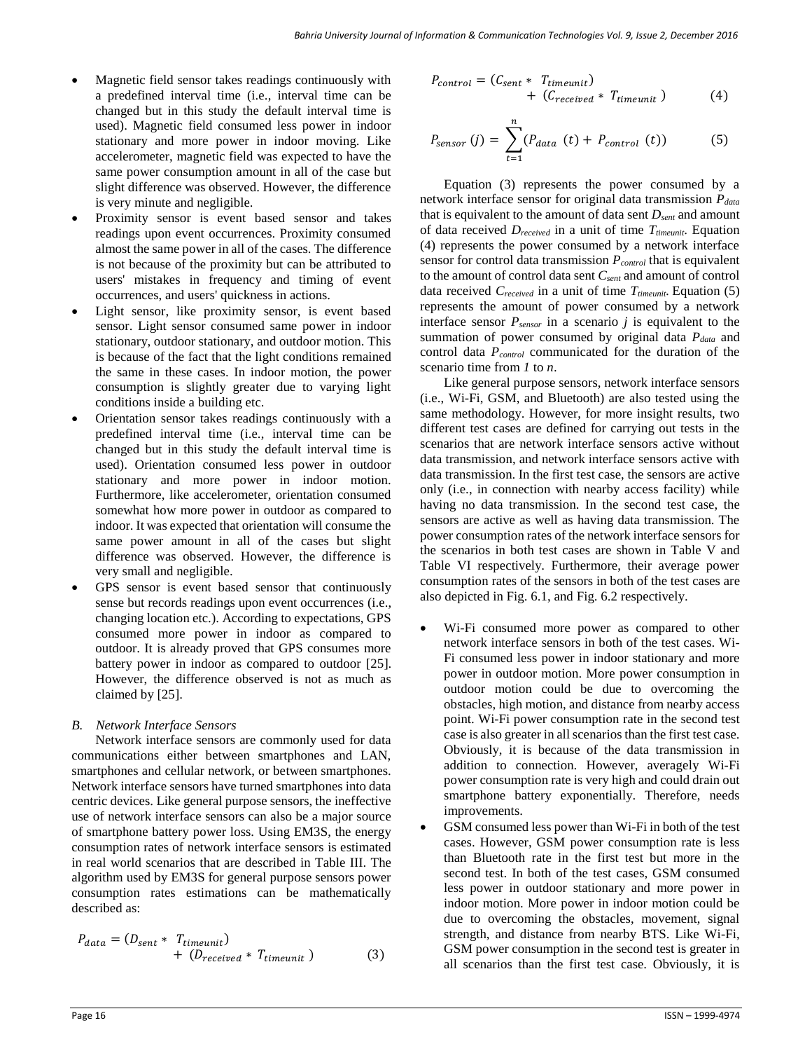- Magnetic field sensor takes readings continuously with a predefined interval time (i.e., interval time can be changed but in this study the default interval time is used). Magnetic field consumed less power in indoor stationary and more power in indoor moving. Like accelerometer, magnetic field was expected to have the same power consumption amount in all of the case but slight difference was observed. However, the difference is very minute and negligible.
- Proximity sensor is event based sensor and takes readings upon event occurrences. Proximity consumed almost the same power in all of the cases. The difference is not because of the proximity but can be attributed to users' mistakes in frequency and timing of event occurrences, and users' quickness in actions.
- Light sensor, like proximity sensor, is event based sensor. Light sensor consumed same power in indoor stationary, outdoor stationary, and outdoor motion. This is because of the fact that the light conditions remained the same in these cases. In indoor motion, the power consumption is slightly greater due to varying light conditions inside a building etc.
- Orientation sensor takes readings continuously with a predefined interval time (i.e., interval time can be changed but in this study the default interval time is used). Orientation consumed less power in outdoor stationary and more power in indoor motion. Furthermore, like accelerometer, orientation consumed somewhat how more power in outdoor as compared to indoor. It was expected that orientation will consume the same power amount in all of the cases but slight difference was observed. However, the difference is very small and negligible.
- GPS sensor is event based sensor that continuously sense but records readings upon event occurrences (i.e., changing location etc.). According to expectations, GPS consumed more power in indoor as compared to outdoor. It is already proved that GPS consumes more battery power in indoor as compared to outdoor [25]. However, the difference observed is not as much as claimed by [25].

# *B. Network Interface Sensors*

Network interface sensors are commonly used for data communications either between smartphones and LAN, smartphones and cellular network, or between smartphones. Network interface sensors have turned smartphones into data centric devices. Like general purpose sensors, the ineffective use of network interface sensors can also be a major source of smartphone battery power loss. Using EM3S, the energy consumption rates of network interface sensors is estimated in real world scenarios that are described in Table III. The algorithm used by EM3S for general purpose sensors power consumption rates estimations can be mathematically described as:

$$
P_{data} = (D_{sent} * T_{timeout}) + (D_{received} * T_{timeout})
$$
 (3)

$$
P_{control} = (C_{sent} * T_{timeout}) + (C_{received} * T_{timeout})
$$
 (4)

$$
P_{sensor}(j) = \sum_{t=1}^{n} (P_{data}(t) + P_{control}(t))
$$
 (5)

Equation (3) represents the power consumed by a network interface sensor for original data transmission *Pdata* that is equivalent to the amount of data sent *Dsent* and amount of data received *Dreceived* in a unit of time *Ttimeunit*. Equation (4) represents the power consumed by a network interface sensor for control data transmission *Pcontrol* that is equivalent to the amount of control data sent *Csent* and amount of control data received *Creceived* in a unit of time *Ttimeunit.* Equation (5) represents the amount of power consumed by a network interface sensor *Psensor* in a scenario *j* is equivalent to the summation of power consumed by original data *Pdata* and control data *Pcontrol* communicated for the duration of the scenario time from *1* to *n*.

Like general purpose sensors, network interface sensors (i.e., Wi-Fi, GSM, and Bluetooth) are also tested using the same methodology. However, for more insight results, two different test cases are defined for carrying out tests in the scenarios that are network interface sensors active without data transmission, and network interface sensors active with data transmission. In the first test case, the sensors are active only (i.e., in connection with nearby access facility) while having no data transmission. In the second test case, the sensors are active as well as having data transmission. The power consumption rates of the network interface sensors for the scenarios in both test cases are shown in Table V and Table VI respectively. Furthermore, their average power consumption rates of the sensors in both of the test cases are also depicted in Fig. 6.1, and Fig. 6.2 respectively.

- Wi-Fi consumed more power as compared to other network interface sensors in both of the test cases. Wi-Fi consumed less power in indoor stationary and more power in outdoor motion. More power consumption in outdoor motion could be due to overcoming the obstacles, high motion, and distance from nearby access point. Wi-Fi power consumption rate in the second test case is also greater in all scenarios than the first test case. Obviously, it is because of the data transmission in addition to connection. However, averagely Wi-Fi power consumption rate is very high and could drain out smartphone battery exponentially. Therefore, needs improvements.
- GSM consumed less power than Wi-Fi in both of the test cases. However, GSM power consumption rate is less than Bluetooth rate in the first test but more in the second test. In both of the test cases, GSM consumed less power in outdoor stationary and more power in indoor motion. More power in indoor motion could be due to overcoming the obstacles, movement, signal strength, and distance from nearby BTS. Like Wi-Fi, GSM power consumption in the second test is greater in all scenarios than the first test case. Obviously, it is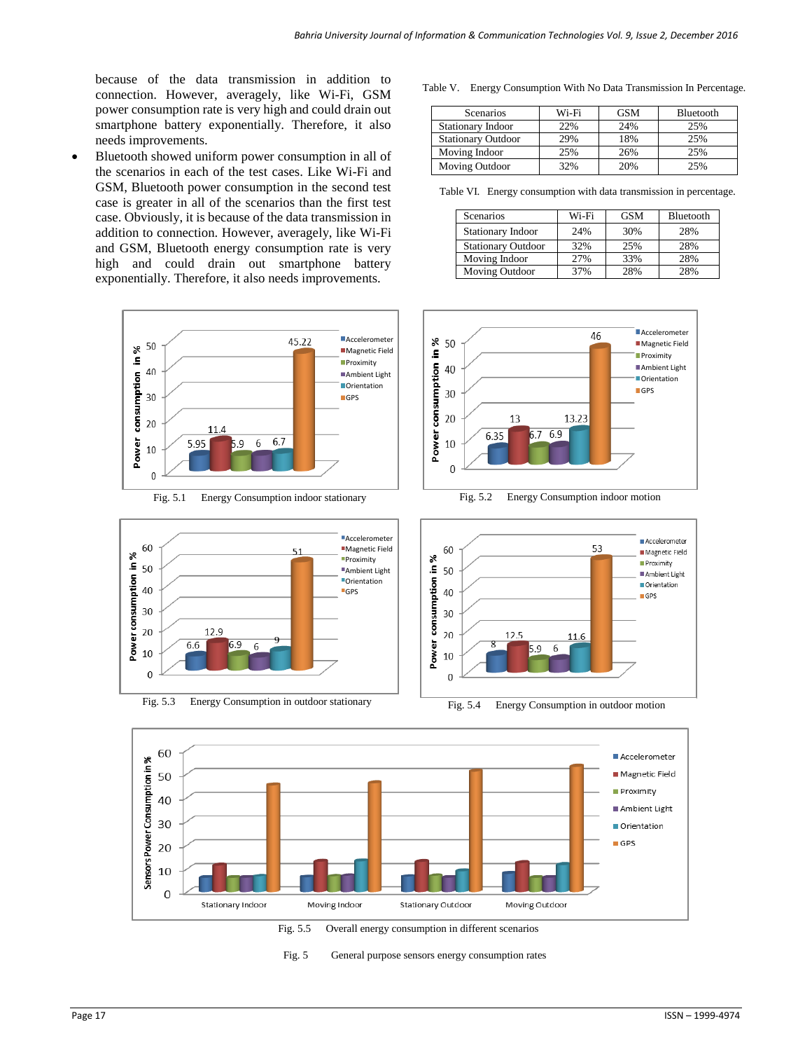because of the data transmission in addition to connection. However, averagely, like Wi-Fi, GSM power consumption rate is very high and could drain out smartphone battery exponentially. Therefore, it also needs improvements.

 Bluetooth showed uniform power consumption in all of the scenarios in each of the test cases. Like Wi-Fi and GSM, Bluetooth power consumption in the second test case is greater in all of the scenarios than the first test case. Obviously, it is because of the data transmission in addition to connection. However, averagely, like Wi-Fi and GSM, Bluetooth energy consumption rate is very high and could drain out smartphone battery exponentially. Therefore, it also needs improvements.





Table V. Energy Consumption With No Data Transmission In Percentage.

| <b>Scenarios</b>          | Wi-Fi | <b>GSM</b> | Bluetooth |
|---------------------------|-------|------------|-----------|
| Stationary Indoor         | 22%   | 24%        | 25%       |
| <b>Stationary Outdoor</b> | 29%   | 18%        | 25%       |
| Moving Indoor             | 25%   | 26%        | 25%       |
| Moving Outdoor            | 32%   | 20%        | 25%       |

Table VI. Energy consumption with data transmission in percentage.

| Scenarios                 | Wi-Fi | <b>GSM</b> | Bluetooth |
|---------------------------|-------|------------|-----------|
| Stationary Indoor         | 24%   | 30%        | 28%       |
| <b>Stationary Outdoor</b> | 32%   | 25%        | 28%       |
| Moving Indoor             | 27%   | 33%        | 28%       |
| Moving Outdoor            | 37%   | 28%        | 28%       |





Energy Consumption in outdoor motion



Fig. 5 General purpose sensors energy consumption rates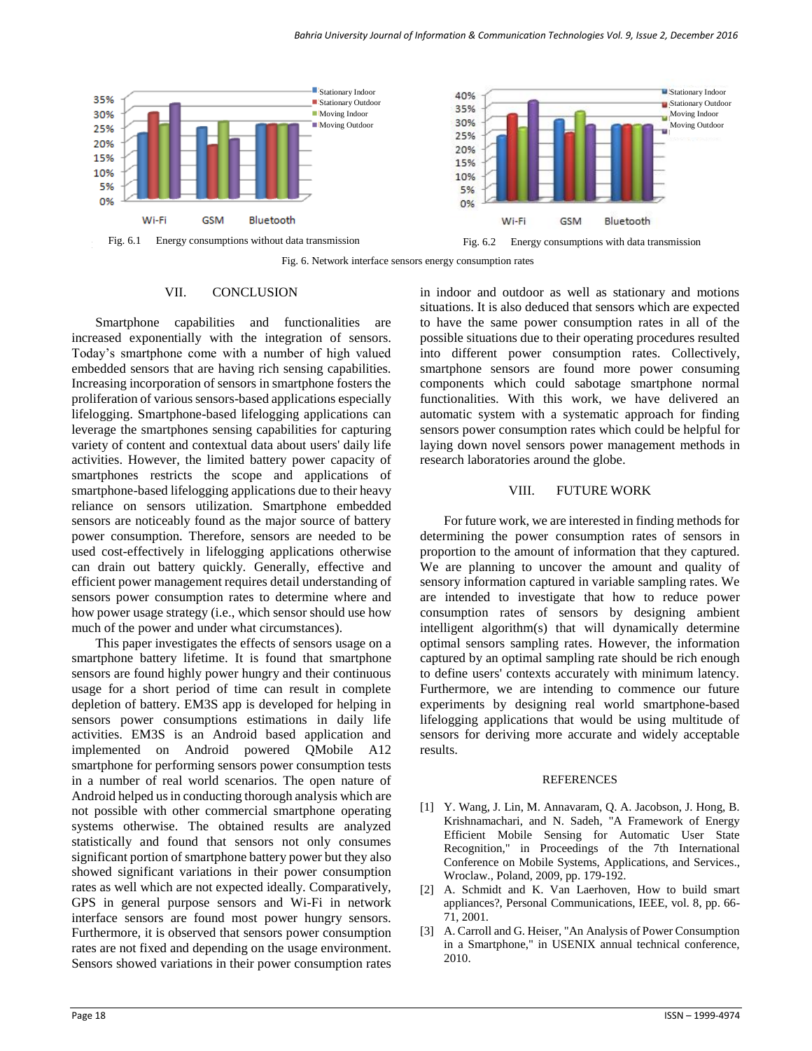

Fig. 6. Network interface sensors energy consumption rates

#### VII. CONCLUSION

Smartphone capabilities and functionalities are increased exponentially with the integration of sensors. Today's smartphone come with a number of high valued embedded sensors that are having rich sensing capabilities. Increasing incorporation of sensors in smartphone fosters the proliferation of various sensors-based applications especially lifelogging. Smartphone-based lifelogging applications can leverage the smartphones sensing capabilities for capturing variety of content and contextual data about users' daily life activities. However, the limited battery power capacity of smartphones restricts the scope and applications of smartphone-based lifelogging applications due to their heavy reliance on sensors utilization. Smartphone embedded sensors are noticeably found as the major source of battery power consumption. Therefore, sensors are needed to be used cost-effectively in lifelogging applications otherwise can drain out battery quickly. Generally, effective and efficient power management requires detail understanding of sensors power consumption rates to determine where and how power usage strategy (i.e., which sensor should use how much of the power and under what circumstances).

This paper investigates the effects of sensors usage on a smartphone battery lifetime. It is found that smartphone sensors are found highly power hungry and their continuous usage for a short period of time can result in complete depletion of battery. EM3S app is developed for helping in sensors power consumptions estimations in daily life activities. EM3S is an Android based application and implemented on Android powered QMobile A12 smartphone for performing sensors power consumption tests in a number of real world scenarios. The open nature of Android helped us in conducting thorough analysis which are not possible with other commercial smartphone operating systems otherwise. The obtained results are analyzed statistically and found that sensors not only consumes significant portion of smartphone battery power but they also showed significant variations in their power consumption rates as well which are not expected ideally. Comparatively, GPS in general purpose sensors and Wi-Fi in network interface sensors are found most power hungry sensors. Furthermore, it is observed that sensors power consumption rates are not fixed and depending on the usage environment. Sensors showed variations in their power consumption rates

in indoor and outdoor as well as stationary and motions situations. It is also deduced that sensors which are expected to have the same power consumption rates in all of the possible situations due to their operating procedures resulted into different power consumption rates. Collectively, smartphone sensors are found more power consuming components which could sabotage smartphone normal functionalities. With this work, we have delivered an automatic system with a systematic approach for finding sensors power consumption rates which could be helpful for laying down novel sensors power management methods in research laboratories around the globe.

#### VIII. FUTURE WORK

For future work, we are interested in finding methods for determining the power consumption rates of sensors in proportion to the amount of information that they captured. We are planning to uncover the amount and quality of sensory information captured in variable sampling rates. We are intended to investigate that how to reduce power consumption rates of sensors by designing ambient intelligent algorithm(s) that will dynamically determine optimal sensors sampling rates. However, the information captured by an optimal sampling rate should be rich enough to define users' contexts accurately with minimum latency. Furthermore, we are intending to commence our future experiments by designing real world smartphone-based lifelogging applications that would be using multitude of sensors for deriving more accurate and widely acceptable results.

#### **REFERENCES**

- [1] Y. Wang, J. Lin, M. Annavaram, Q. A. Jacobson, J. Hong, B. Krishnamachari, and N. Sadeh, "A Framework of Energy Efficient Mobile Sensing for Automatic User State Recognition," in Proceedings of the 7th International Conference on Mobile Systems, Applications, and Services., Wroclaw., Poland, 2009, pp. 179-192.
- [2] A. Schmidt and K. Van Laerhoven, How to build smart appliances?, Personal Communications, IEEE, vol. 8, pp. 66- 71, 2001.
- [3] A. Carroll and G. Heiser, "An Analysis of Power Consumption in a Smartphone," in USENIX annual technical conference, 2010.